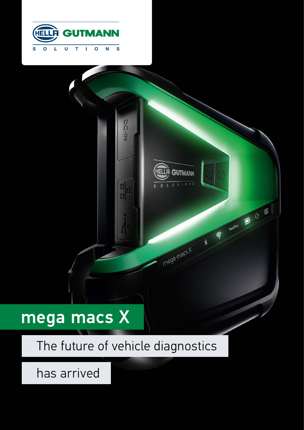



# mega macs X

# The future of vehicle diagnostics

has arrived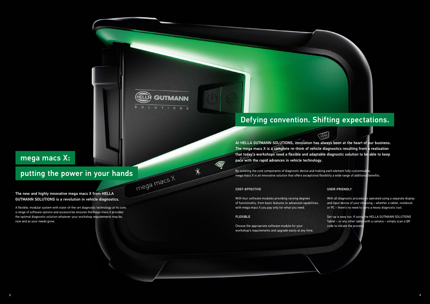## mega macs X:

# putting the power in your hands

The new and highly innovative mega macs X from HELLA GUTMANN SOLUTIONS is a revolution in vehicle diagnostics.

A flexible, modular system with state-of-the-art diagnostic technology at its core, a range of software options and accessories ensures the mega macs X provides the optimal diagnostic solution whatever your workshop requirements may be, now and as your needs grow.

## Defying convention. Shifting expectations.

## COST-EFFECTIVE

With four software modules providing varying degrees of functionality, from basic features to advanced capabilities, with mega macs X you pay only for what you need.

## FLEXIBLE

 $\widehat{\widehat{\mathscr{E}}}$ 

 $\ast$ 

**GUTMANN** 

Choose the appropriate software module for your workshop's requirements and upgrade easily at any time.

#### USER-FRIENDLY

With all diagnostic procedures operated using a separate display and input device of your choosing – whether a tablet, notebook or PC – there's no need to carry a heavy diagnostic tool.

Set-up is easy too. If using the HELLA GUTMANN SOLUTIONS Tablet – or any other tablet with a camera – simply scan a QR code to initiate the process.

At HELLA GUTMANN SOLUTIONS, innovation has always been at the heart of our business. The mega macs X is a complete re-think of vehicle diagnostics resulting from a realisation that today's workshops need a flexible and adaptable diagnostic solution to be able to keep pace with the rapid advances in vehicle technology.

By isolating the core components of diagnostic device and making each element fully customisable, mega macs X is an innovative solution that offers exceptional flexibility a wide range of additional benefits.



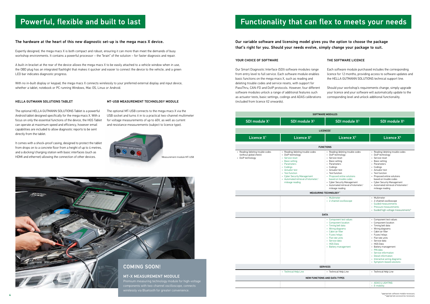| <b>SOFTWARE MODULES</b>                                                         |                                                                                                                                                                                                                                                                        |                                                                                                                                                                                                                                                                                                                |                                                                                                                                                                                                                                                                                                                                                         |  |
|---------------------------------------------------------------------------------|------------------------------------------------------------------------------------------------------------------------------------------------------------------------------------------------------------------------------------------------------------------------|----------------------------------------------------------------------------------------------------------------------------------------------------------------------------------------------------------------------------------------------------------------------------------------------------------------|---------------------------------------------------------------------------------------------------------------------------------------------------------------------------------------------------------------------------------------------------------------------------------------------------------------------------------------------------------|--|
| SDI module X <sup>1</sup>                                                       | SDI module X <sup>2</sup>                                                                                                                                                                                                                                              | <b>SDI module X3</b>                                                                                                                                                                                                                                                                                           | SDI module X <sup>4</sup>                                                                                                                                                                                                                                                                                                                               |  |
| <b>LICENCES'</b>                                                                |                                                                                                                                                                                                                                                                        |                                                                                                                                                                                                                                                                                                                |                                                                                                                                                                                                                                                                                                                                                         |  |
| Licence X <sup>1</sup>                                                          | Licence $X^2$                                                                                                                                                                                                                                                          | Licence $X^3$                                                                                                                                                                                                                                                                                                  | Licence X <sup>4</sup>                                                                                                                                                                                                                                                                                                                                  |  |
| <b>FUNCTIONS</b>                                                                |                                                                                                                                                                                                                                                                        |                                                                                                                                                                                                                                                                                                                |                                                                                                                                                                                                                                                                                                                                                         |  |
| • Reading/deleting trouble codes<br>(without global check)<br>• DoiP technology | • Reading/deleting trouble codes<br>DoiP technology<br>$\bullet$<br>Service reset<br>ä,<br>• Basic setting<br>• Parameters<br>• Codings<br>• Actuator test<br>• Test function<br>• Cyber Security Management<br>• Automated retrieval of kilometer/<br>mileage reading | • Reading/deleting trouble codes<br>• DoiP technology<br>• Service reset<br>• Basic setting<br>• Parameters<br>• Codings<br>• Actuator test<br>Test function<br>• Proposed online solutions<br>based on trouble codes<br>• Cyber Security Management<br>• Automated retrieval of kilometer/<br>mileage reading | • Reading/deleting trouble codes<br>• DoiP technology<br>• Service reset<br>• Basic setting<br>• Parameters<br>• Codinas<br>• Actuator test<br>Test function<br>• Proposed online solutions<br>based on trouble codes<br>• Cyber Security Management<br>• Automated retrieval of kilometer/<br>mileage reading                                          |  |
| <b>MEASURING TECHNOLOGY"</b>                                                    |                                                                                                                                                                                                                                                                        |                                                                                                                                                                                                                                                                                                                |                                                                                                                                                                                                                                                                                                                                                         |  |
|                                                                                 |                                                                                                                                                                                                                                                                        | • Multimeter<br>· 2-channel oscilloscope                                                                                                                                                                                                                                                                       | • Multimeter<br>· 2-channel oscilloscope<br>• Guided measurements<br>• Pressure measurements<br>· Guided high-voltage measurements*                                                                                                                                                                                                                     |  |
| <b>DATA</b>                                                                     |                                                                                                                                                                                                                                                                        |                                                                                                                                                                                                                                                                                                                |                                                                                                                                                                                                                                                                                                                                                         |  |
|                                                                                 |                                                                                                                                                                                                                                                                        | • Component test values<br>• Component location<br>• Timing belt data<br>• Wiring diagrams<br>• Cabin air filter<br>• Fuses/relays<br>• Flat rate units<br>• Service data<br>• HGS Data<br>• Battery management                                                                                                | • Component test values<br>• Component location<br>• Timing belt data<br>• Wiring diagrams<br>• Cabin air filter<br>• Fuses/relays<br>• Flat rate units<br>• Service data<br>• HGS Data<br>Battery management<br>$\bullet$<br>• PIN data<br>• Service information<br>• Diesel information<br>• Interactive wiring diagrams<br>• Symptom-based solutions |  |
| <b>SERVICES</b>                                                                 |                                                                                                                                                                                                                                                                        |                                                                                                                                                                                                                                                                                                                |                                                                                                                                                                                                                                                                                                                                                         |  |
|                                                                                 | • Technical Help Line<br><b>NEW FUNCTIONS AND DATA TYPES</b>                                                                                                                                                                                                           | • Technical Help Line                                                                                                                                                                                                                                                                                          | • Technical Help Line                                                                                                                                                                                                                                                                                                                                   |  |
|                                                                                 |                                                                                                                                                                                                                                                                        |                                                                                                                                                                                                                                                                                                                | • ADAS & LIGHTING<br>• E-mobility                                                                                                                                                                                                                                                                                                                       |  |

#### HELLA GUTMANN SOLUTIONS TABLET

#### MT-USB MEASUREMENT TECHNOLOGY MODULE

With no in-built display or keypad, the mega macs X connects wirelessly to your preferred external display and input device, whether a tablet, notebook or PC running Windows, Mac OS, Linux or Android.

The optional HELLA GUTMANN SOLUTIONS Tablet is a powerful Android tablet designed specifically for the mega macs X. With a focus on only the essential functions of the device, the HGS Tablet can operate at maximum speed and efficiency, however email capabilities are included to allow diagnostic reports to be sent directly from the tablet.

It comes with a shock-proof casing, designed to protect the tablet from drops on to a concrete floor from a height of up to 4 metres, and a docking/charging station with basic interfaces (such as HDMI and ethernet) allowing the connection of other devices.

The optional MT-USB connects to the mega macs X via the USB socket and turns it in to a practical two-channel multimeter for voltage measurements of up to 60V, as well as current and resistance measurements (subject to licence type).





#### MT-X MEASUREMENT MODULE

Premium measuring technology module for high-voltage components with two-channel oscilloscope, connects wirelessly via Bluetooth for greater convenience.

## Powerful, flexible and built to last Theorem States Summary Runctionality that can flex to meets your needs

## The hardware at the heart of this new diagnostic set-up is the mega macs X device.

Expertly designed, the mega macs X is both compact and robust, ensuring it can more than meet the demands of busy workshop environments. It contains a powerful processor – the "brain" of the solution – for faster diagnosis and repair.

A built-in bracket at the rear of the device allows the mega macs X to be easily attached to a vehicle window when in use, the OBD plug has an integrated flashlight that makes it quicker and easier to connect the device to the vehicle, and a green LED bar indicates diagnostic progress.

#### YOUR CHOICE OF SOFTWARE

Our Smart Diagnostic Interface (SDI) software modules range from entry level to full service. Each software module enables basic functions on the mega macs X, such as reading and deleting trouble codes and service resets, with support for PassThru, CAN-FD and DoIP protocols. However, four different software modules unlock a range of additional features such as actuator tests, basic settings, codings and ADAS calibrations (included from licence X2 onwards).

#### THE SOFTWARE LICENCE

Each software module purchased includes the corresponding licence for 12 months, providing access to software updates and the HELLA GUTMANN SOLUTIONS technical support line.

Should your workshop's requirements change, simply upgrade your licence and your software will automatically update to the corresponding level and unlock additional functionality.

Our variable software and licensing model gives you the option to choose the package that's right for you. Should your needs evolve, simply change your package to suit.

Measurement module MT-USB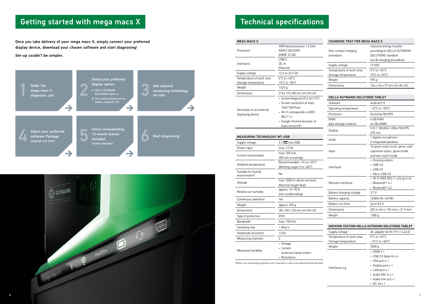## Getting started with mega macs X

Once you take delivery of your mega macs X, simply connect your preferred display device, download your chosen software and start diagnosing!

Set-up couldn't be simpler.



| <b>MEGA MACS X</b>                              |                                                                        | <b>CHARGING TRAY FOR MEGA MACS X</b>            |                                                                               |
|-------------------------------------------------|------------------------------------------------------------------------|-------------------------------------------------|-------------------------------------------------------------------------------|
| Processor                                       | ARM dual processor 1.2 GHz<br>RAM 2 GB DDR3<br>EMMC 32 GB              | Non-contact charging<br>procedure               | Inductive energy transfer<br>according to HELLA GUTMANN<br>SOLUTIONS standard |
| <b>Interfaces</b>                               | USB-C<br>DC-In<br>Ethernet                                             | Supply voltage                                  | (no QI charging procedure)<br>15 VDC                                          |
| Supply voltage                                  | 12 V to 24 V DC                                                        | Temperature of work area<br>Storage temperature | $0^{\circ}$ C to +45 $^{\circ}$ C<br>10 $\degree$ C to +50 $\degree$ C        |
| Temperature of work area<br>Storage temperature | $0^{\circ}$ C to +45 $^{\circ}$ C<br>10 $\degree$ C to +50 $\degree$ C | Weight                                          | 590 g                                                                         |
| Weight                                          | 1420 g                                                                 | <b>Dimensions</b>                               | $164 \times 164 \times 37$ mm ( $H \times W \times D$ )                       |
| <b>Dimensions</b>                               | $210x193x80$ mm (HxW xD)<br>· Screen diagonal 25.4 cm (10")            | <b>HELLA GUTMANN SOLUTIONS TABLET</b>           |                                                                               |
| Demands on an external<br>displaying device     | • Screen resolution at least                                           | Software                                        | Android 9.0                                                                   |
|                                                 | 1024*768 Pixel                                                         | Operating temperature                           | $-10^{\circ}$ C to $+50^{\circ}$ C                                            |
|                                                 | • Wi-Fi corresponds to IEEE<br>802.11 n                                | Processor                                       | Rockchip RK3399                                                               |
|                                                 | • Google Chrome browser at                                             | RAM/                                            | 4 GB RAM                                                                      |
|                                                 | least version 81                                                       | data storage medium                             | 64 GB eMMC<br>$V10.1$ $W1$ $W2$ $A$ $1000$ $1000$ $R$                         |

| HELLA GUTMANN SOLUTIONS TABLET |                                        |  |
|--------------------------------|----------------------------------------|--|
| Software                       | Android 9.0                            |  |
| Operating temperature          | $-10^{\circ}$ C to $+50^{\circ}$ C     |  |
| Processor                      | Rockchip RK3399                        |  |
| RAM/                           | 4 GB RAM                               |  |
| data storage medium            | 64 GB eMMC                             |  |
| Display                        | X10.1" WUXGA 1200x1920 IPS<br>470 nits |  |
|                                | 1 digital microphone                   |  |
| Audio                          | 2 integrated speakers                  |  |
|                                | 10-point multi-touch, glove, with      |  |
| Input                          | capacitive stylus, glove mode          |  |
|                                | and wet-touch mode                     |  |
|                                | • Docking station                      |  |
| Interfaces                     | $\cdot$ USB 3.0                        |  |
|                                | $\cdot$ USB 2.0                        |  |
|                                | • Micro USB 2.0                        |  |
|                                | · Wi-Fi IEEE 802.11 a/b/g/n/ac         |  |
| Remote interfaces              | • Bluetooth® 4.1                       |  |
|                                | • Bluetooth® 4.2                       |  |
| Battery charging voltage       | 3.7V                                   |  |
| Battery capacity               | 10,800 Ah / 40 Wh                      |  |
| Battery run time               | up to 8.5 h                            |  |
| Dimensions                     | 283.4 mm x 192 mm x 21.9 mm            |  |
| Weight                         | 1280 g                                 |  |

| DOCKING STATION HELLA GUTMANN SOLUTIONS TABLET |                                    |  |
|------------------------------------------------|------------------------------------|--|
| Supply voltage                                 | AC adapter 65 W (19 V / 3.42 A)    |  |
| Temperature of work area                       | $0^{\circ}$ C to +45 $^{\circ}$ C  |  |
| Storage temperature                            | $-10^{\circ}$ C to $+60^{\circ}$ C |  |
| Weight                                         | 2500q                              |  |
|                                                | $\cdot$ HDMI $\times$ 1            |  |
|                                                | • USB 2.0 (type A) $\times$ 4      |  |
|                                                | $\cdot$ VGA port x 1               |  |
| Interfaces e.g.                                | • Display port x 1                 |  |
|                                                | $\cdot$ LAN port x 1               |  |
|                                                | • Audio MIC in x 1                 |  |
|                                                | • Audio line out x 1               |  |
|                                                | • DC-IN $\times$ 1                 |  |

#### MEASURING TECHNOLOGY MT-USB

| Supply voltage                     | $5V$ $\blacksquare$ (via USB)         |
|------------------------------------|---------------------------------------|
| Power input                        | max. 2.5 W                            |
| Current consumption                | max. 500 mA,                          |
|                                    | 300 mA at average                     |
| Ambient temperature                | Recommended: $+10$ to $+35^{\circ}$ C |
|                                    | Working range: 0 to +40°C             |
| Suitable for humid<br>environment? | No                                    |
| Altitude                           | max, 2000 m above sea level           |
|                                    | (Normal Height Null)                  |
|                                    | approx. 10-90%                        |
| Relative air humidity              | (not condensating)                    |
| Continuous operation               | Yes                                   |
| Weight                             | approx. 490 g                         |
| Dimensions                         | 38 x 102 x 130 mm (H x W x D)         |
| Type of protection                 | IP20                                  |
| <b>Bandwidth</b>                   | max. 100 kHz                          |
| Sampling rate                      | $1$ Msa/s                             |
| Amplitude resolution               | 12 bit                                |
| Measuring channels                 | 2                                     |
|                                    | • Voltage                             |
| Measured variables                 | Current                               |
|                                    | (external clamp meter)                |
|                                    | • Resistance                          |

Please visit www.hella-gutmann.com/manuals to view more detailed technical data

## Technical specifications